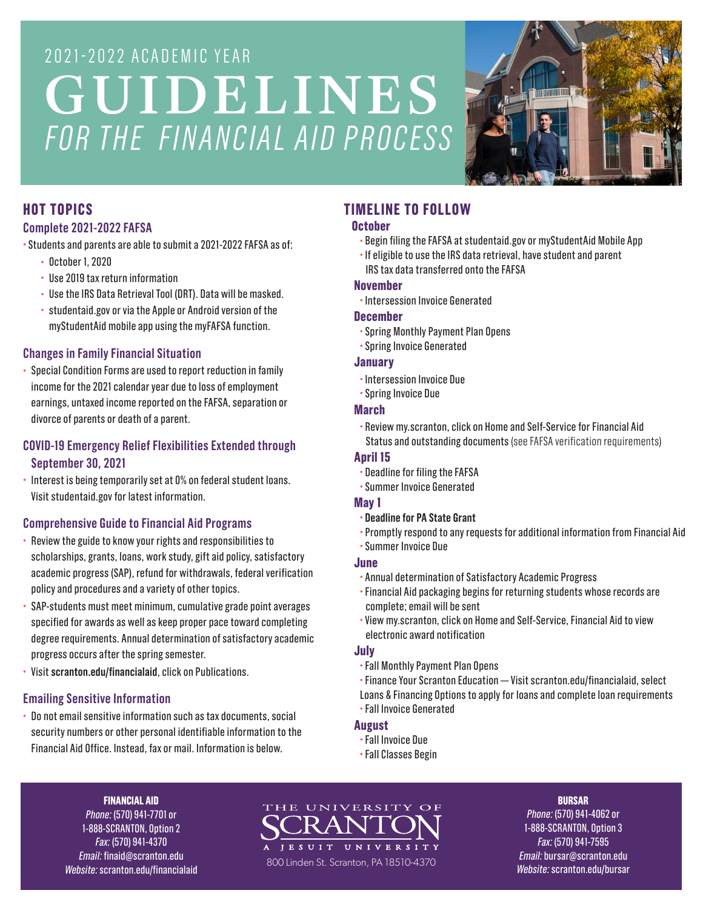# 2021-2022 ACADEMIC YEAR GUIDELINES *FOR THE FINANCIAL AID PROCESS*



# **HOT TOPICS**

## **Complete 2021-2022 FAFSA**

- Students and parents are able to submit a 2021-2022 FAFSA as of:
	- October 1, 2020
	- Use 2019 tax return information
	- Use the IRS Data Retrieval Tool (DRT). Data will be masked.
	- studentaid.gov or via the Apple or Android version of the myStudentAid mobile app using the myFAFSA function.

# **Changes in Family Financial Situation**

• Special Condition Forms are used to report reduction in family income for the 2021 calendar year due to loss of employment earnings, untaxed income reported on the FAFSA, separation or divorce of parents or death of a parent.

# **COVID-19 Emergency Relief Flexibilities Extended through September 30, 2021**

• Interest is being temporarily set at 0% on federal student loans. Visit studentaid.gov for latest information.

# **Comprehensive Guide to Financial Aid Programs**

- Review the guide to know your rights and responsibilities to scholarships, grants, loans, work study, gift aid policy, satisfactory academic progress (SAP), refund for withdrawals, federal verification policy and procedures and a variety of other topics.
- SAP-students must meet minimum, cumulative grade point averages specified for awards as well as keep proper pace toward completing degree requirements. Annual determination of satisfactory academic progress occurs after the spring semester.
- Visit **scranton.edu/financialaid**, click on Publications.

# **Emailing Sensitive Information**

• Do not email sensitive information such as tax documents, social security numbers or other personal identifiable information to the Financial Aid Office. Instead, fax or mail. Information is below.

# **TIMELINE TO FOLLOW**

## **October**

- Begin filing the FAFSA at studentaid.gov or myStudentAid Mobile App
- If eligible to use the IRS data retrieval, have student and parent IRS tax data transferred onto the FAFSA

## **November**

• Intersession Invoice Generated

## **December**

- Spring Monthly Payment Plan Opens
- Spring Invoice Generated

## **January**

- Intersession Invoice Due
- Spring Invoice Due

## **March**

• Review my.scranton, click on Home and Self-Service for Financial Aid Status and outstanding documents (see FAFSA verification requirements)

## **April 15**

- Deadline for filing the FAFSA
- Summer Invoice Generated

## **May 1**

- **Deadline for PA State Grant**
- Promptly respond to any requests for additional information from Financial Aid

# • Summer Invoice Due

- **June**
- Annual determination of Satisfactory Academic Progress
- Financial Aid packaging begins for returning students whose records are complete; email will be sent
- View my.scranton, click on Home and Self-Service, Financial Aid to view electronic award notification

## **July**

- Fall Monthly Payment Plan Opens
- Finance Your Scranton Education Visit scranton.edu/financialaid, select
- Loans & Financing Options to apply for loans and complete loan requirements • Fall Invoice Generated

# **August**

- Fall Invoice Due
- Fall Classes Begin

#### **FINANCIAL AID**

*Phone:* (570) 941-7701 or 1-888-SCRANTON, Option 2 *Fax:* (570) 941-4370 *Email:* finaid@scranton.edu *Website:* scranton.edu/financialaid THE UNIVERSITY OF JESUIT UNIVERS 800 Linden St. Scranton, PA 18510-4370

#### **BURSAR**

*Phone:* (570) 941-4062 or 1-888-SCRANTON, Option 3 *Fax:* (570) 941-7595 *Email:* bursar@scranton.edu *Website:* scranton.edu/bursar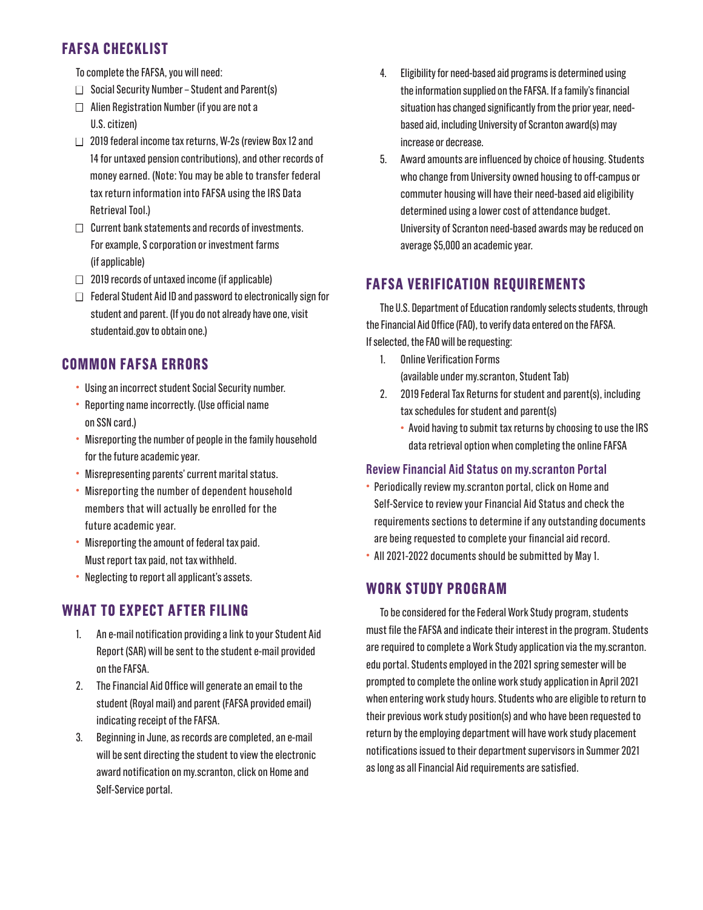# **FAFSA CHECKLIST**

- To complete the FAFSA, you will need:
- $\Box$  Social Security Number Student and Parent(s)
- $\Box$  Alien Registration Number (if you are not a U.S. citizen)
- $\Box$  2019 federal income tax returns, W-2s (review Box 12 and 14 for untaxed pension contributions), and other records of money earned. (Note: You may be able to transfer federal tax return information into FAFSA using the IRS Data Retrieval Tool.)
- $\Box$  Current bank statements and records of investments. For example, S corporation or investment farms (if applicable)
- $\Box$  2019 records of untaxed income (if applicable)
- $\Box$  Federal Student Aid ID and password to electronically sign for student and parent. (If you do not already have one, visit studentaid.gov to obtain one.)

# **COMMON FAFSA ERRORS**

- Using an incorrect student Social Security number.
- Reporting name incorrectly. (Use official name on SSN card.)
- Misreporting the number of people in the family household for the future academic year.
- Misrepresenting parents' current marital status.
- Misreporting the number of dependent household members that will actually be enrolled for the future academic year.
- Misreporting the amount of federal tax paid. Must report tax paid, not tax withheld.
- Neglecting to report all applicant's assets.

# **WHAT TO EXPECT AFTER FILING**

- 1. An e-mail notification providing a link to your Student Aid Report (SAR) will be sent to the student e-mail provided on the FAFSA.
- 2. The Financial Aid Office will generate an email to the student (Royal mail) and parent (FAFSA provided email) indicating receipt of the FAFSA.
- 3. Beginning in June, as records are completed, an e-mail will be sent directing the student to view the electronic award notification on my.scranton, click on Home and Self-Service portal.
- 4. Eligibility for need-based aid programs is determined using the information supplied on the FAFSA. If a family's financial situation has changed significantly from the prior year, needbased aid, including University of Scranton award(s) may increase or decrease.
- 5. Award amounts are influenced by choice of housing. Students who change from University owned housing to off-campus or commuter housing will have their need-based aid eligibility determined using a lower cost of attendance budget. University of Scranton need-based awards may be reduced on average \$5,000 an academic year.

# **FAFSA VERIFICATION REQUIREMENTS**

The U.S. Department of Education randomly selects students, through the Financial Aid Office (FAO), to verify data entered on the FAFSA. If selected, the FAO will be requesting:

- 1. Online Verification Forms (available under my.scranton, Student Tab)
- 2. 2019 Federal Tax Returns for student and parent(s), including tax schedules for student and parent(s)
	- Avoid having to submit tax returns by choosing to use the IRS data retrieval option when completing the online FAFSA

# **Review Financial Aid Status on my.scranton Portal**

- Periodically review my.scranton portal, click on Home and Self-Service to review your Financial Aid Status and check the requirements sections to determine if any outstanding documents are being requested to complete your financial aid record.
- All 2021-2022 documents should be submitted by May 1.

# **WORK STUDY PROGRAM**

To be considered for the Federal Work Study program, students must file the FAFSA and indicate their interest in the program. Students are required to complete a Work Study application via the my.scranton. edu portal. Students employed in the 2021 spring semester will be prompted to complete the online work study application in April 2021 when entering work study hours. Students who are eligible to return to their previous work study position(s) and who have been requested to return by the employing department will have work study placement notifications issued to their department supervisors in Summer 2021 as long as all Financial Aid requirements are satisfied.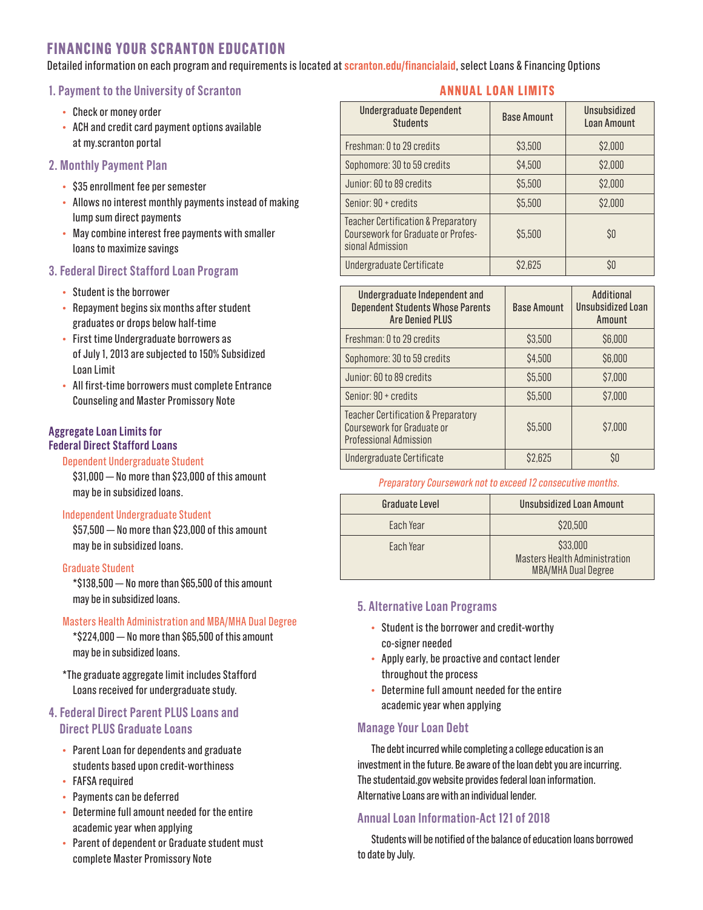# **FINANCING YOUR SCRANTON EDUCATION**

Detailed information on each program and requirements is located at **scranton.edu/financialaid**, select Loans & Financing Options

#### **1. Payment to the University of Scranton**

- Check or money order
- ACH and credit card payment options available at my.scranton portal
- **2. Monthly Payment Plan** 
	- \$35 enrollment fee per semester
	- Allows no interest monthly payments instead of making lump sum direct payments
	- May combine interest free payments with smaller loans to maximize savings

# **3. Federal Direct Stafford Loan Program**

- Student is the borrower
- Repayment begins six months after student graduates or drops below half-time
- First time Undergraduate borrowers as of July 1, 2013 are subjected to 150% Subsidized Loan Limit
- All first-time borrowers must complete Entrance Counseling and Master Promissory Note

#### **Aggregate Loan Limits for Federal Direct Stafford Loans**

#### Dependent Undergraduate Student

\$31,000 — No more than \$23,000 of this amount may be in subsidized loans.

#### Independent Undergraduate Student

\$57,500 — No more than \$23,000 of this amount may be in subsidized loans.

## Graduate Student

\*\$138,500 — No more than \$65,500 of this amount may be in subsidized loans.

#### Masters Health Administration and MBA/MHA Dual Degree

\*\$224,000 — No more than \$65,500 of this amount may be in subsidized loans.

\*The graduate aggregate limit includes Stafford Loans received for undergraduate study.

# **4. Federal Direct Parent PLUS Loans and Direct PLUS Graduate Loans**

- Parent Loan for dependents and graduate students based upon credit-worthiness
- FAFSA required
- Payments can be deferred
- Determine full amount needed for the entire academic year when applying
- Parent of dependent or Graduate student must complete Master Promissory Note

# **ANNUAL LOAN LIMITS**

| <b>Undergraduate Dependent</b><br><b>Students</b>                                                        | <b>Base Amount</b> | Unsubsidized<br><b>Loan Amount</b> |
|----------------------------------------------------------------------------------------------------------|--------------------|------------------------------------|
| Freshman: 0 to 29 credits                                                                                | \$3,500            | \$2,000                            |
| Sophomore: 30 to 59 credits                                                                              | \$4,500            | \$2,000                            |
| Junior: 60 to 89 credits                                                                                 | \$5,500            | \$2,000                            |
| Senior: 90 + credits                                                                                     | \$5,500            | \$2,000                            |
| <b>Teacher Certification &amp; Preparatory</b><br>Coursework for Graduate or Profes-<br>sional Admission | \$5,500            | \$O                                |
| Undergraduate Certificate                                                                                | \$2,625            | \$O                                |

| Undergraduate Independent and<br><b>Dependent Students Whose Parents</b><br><b>Are Denied PLUS</b>     | <b>Base Amount</b> | Additional<br>Unsubsidized Loan<br>Amount |
|--------------------------------------------------------------------------------------------------------|--------------------|-------------------------------------------|
| Freshman: 0 to 29 credits                                                                              | \$3,500            | \$6,000                                   |
| Sophomore: 30 to 59 credits                                                                            | \$4,500            | \$6,000                                   |
| Junior: 60 to 89 credits                                                                               | \$5,500            | \$7,000                                   |
| Senior: 90 + credits                                                                                   | \$5,500            | \$7,000                                   |
| <b>Teacher Certification &amp; Preparatory</b><br>Coursework for Graduate or<br>Professional Admission | \$5,500            | \$7,000                                   |
| Undergraduate Certificate                                                                              | \$2,625            | SO                                        |

#### *Preparatory Coursework not to exceed 12 consecutive months.*

| Graduate Level | Unsubsidized Loan Amount                                                |  |
|----------------|-------------------------------------------------------------------------|--|
| Each Year      | \$20,500                                                                |  |
| Each Year      | \$33,000<br>Masters Health Administration<br><b>MBA/MHA Dual Degree</b> |  |

## **5. Alternative Loan Programs**

- Student is the borrower and credit-worthy co-signer needed
- Apply early, be proactive and contact lender throughout the process
- Determine full amount needed for the entire academic year when applying

## **Manage Your Loan Debt**

The debt incurred while completing a college education is an investment in the future. Be aware of the loan debt you are incurring. The studentaid.gov website provides federal loan information. Alternative Loans are with an individual lender.

## **Annual Loan Information-Act 121 of 2018**

Students will be notified of the balance of education loans borrowed to date by July.